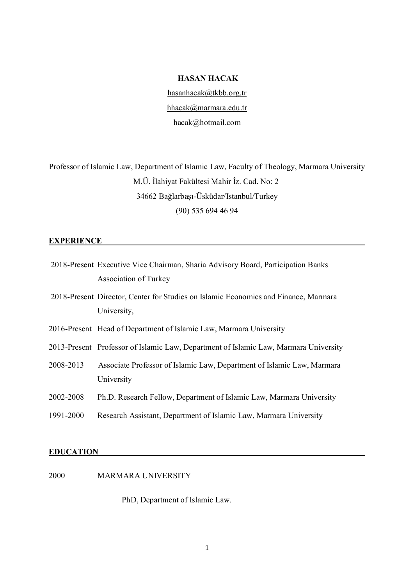### **HASAN HACAK**

hasanhacak@tkbb.org.tr hhacak@marmara.edu.tr hacak@hotmail.com

Professor of Islamic Law, Department of Islamic Law, Faculty of Theology, Marmara University M.Ü. İlahiyat Fakültesi Mahir İz. Cad. No: 2 34662 Bağlarbaşı-Üsküdar/Istanbul/Turkey (90) 535 694 46 94

# **EXPERIENCE**

|           | 2018-Present Executive Vice Chairman, Sharia Advisory Board, Participation Banks     |
|-----------|--------------------------------------------------------------------------------------|
|           | Association of Turkey                                                                |
|           | 2018-Present Director, Center for Studies on Islamic Economics and Finance, Marmara  |
|           | University,                                                                          |
|           | 2016-Present Head of Department of Islamic Law, Marmara University                   |
|           | 2013-Present Professor of Islamic Law, Department of Islamic Law, Marmara University |
| 2008-2013 | Associate Professor of Islamic Law, Department of Islamic Law, Marmara               |
|           | University                                                                           |
| 2002-2008 | Ph.D. Research Fellow, Department of Islamic Law, Marmara University                 |
| 1991-2000 | Research Assistant, Department of Islamic Law, Marmara University                    |

# **EDUCATION**

2000 MARMARA UNIVERSITY

PhD, Department of Islamic Law.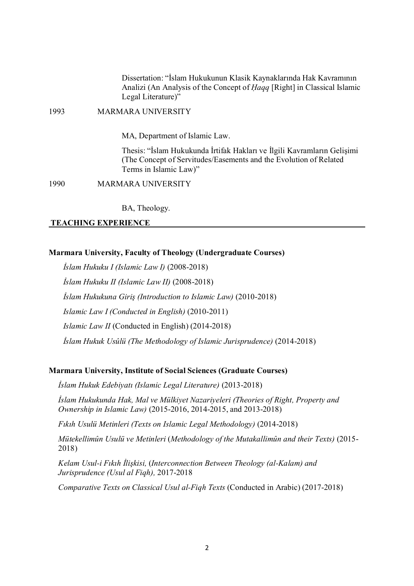Dissertation: "İslam Hukukunun Klasik Kaynaklarında Hak Kavramının Analizi (An Analysis of the Concept of *Ḥaqq* [Right] in Classical Islamic Legal Literature)"

1993 MARMARA UNIVERSITY

MA, Department of Islamic Law.

Thesis: "İslam Hukukunda İrtifak Hakları ve İlgili Kavramların Gelişimi (The Concept of Servitudes/Easements and the Evolution of Related Terms in Islamic Law)"

1990 MARMARA UNIVERSITY

BA, Theology.

### **TEACHING EXPERIENCE**

### **Marmara University, Faculty of Theology (Undergraduate Courses)**

*İslam Hukuku I (Islamic Law I)* (2008-2018) *İslam Hukuku II (Islamic Law II)* (2008-2018) *İslam Hukukuna Giriş (Introduction to Islamic Law)* (2010-2018) *Islamic Law I (Conducted in English)* (2010-2011) *Islamic Law II* (Conducted in English) (2014-2018) *İslam Hukuk Usûlü (The Methodology of Islamic Jurisprudence)* (2014-2018)

# **Marmara University, Institute of Social Sciences (Graduate Courses)**

*İslam Hukuk Edebiyatı (Islamic Legal Literature)* (2013-2018)

*İslam Hukukunda Hak, Mal ve Mülkiyet Nazariyeleri (Theories of Right, Property and Ownership in Islamic Law)* (2015-2016, 2014-2015, and 2013-2018)

*Fıkıh Usulü Metinleri (Texts on Islamic Legal Methodology)* (2014-2018)

*Mütekellimûn Usulü ve Metinleri* (*Methodology of the Mutakallimûn and their Texts)* (2015- 2018)

*Kelam Usul-i Fıkıh İlişkisi,* (*Interconnection Between Theology (al-Kalam) and Jurisprudence (Usul al Fiqh),* 2017-2018

*Comparative Texts on Classical Usul al-Fiqh Texts* (Conducted in Arabic) (2017-2018)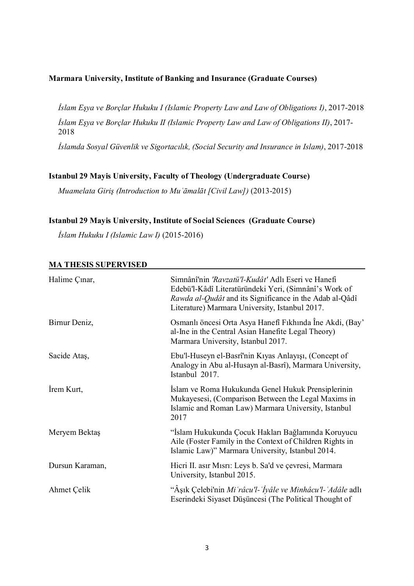# **Marmara University, Institute of Banking and Insurance (Graduate Courses)**

*İslam Eşya ve Borçlar Hukuku I (Islamic Property Law and Law of Obligations I)*, 2017-2018 *İslam Eşya ve Borçlar Hukuku II (Islamic Property Law and Law of Obligations II)*, 2017- 2018

*İslamda Sosyal Güvenlik ve Sigortacılık, (Social Security and Insurance in Islam)*, 2017-2018

# **Istanbul 29 Mayis University, Faculty of Theology (Undergraduate Course)**

*Muamelata Giriş (Introduction to Muʿāmalāt [Civil Law])* (2013-2015)

# **Istanbul 29 Mayis University, Institute of Social Sciences (Graduate Course)**

*İslam Hukuku I (Islamic Law I)* (2015-2016)

| Halime Çinar,   | Simnânî'nin 'Ravzatü'l-Kudât' Adlı Eseri ve Hanefi<br>Edebü'l-Kâdî Literatüründeki Yeri, (Simnânî's Work of<br>Rawda al-Qudât and its Significance in the Adab al-Qâdî<br>Literature) Marmara University, Istanbul 2017. |
|-----------------|--------------------------------------------------------------------------------------------------------------------------------------------------------------------------------------------------------------------------|
| Birnur Deniz,   | Osmanlı öncesi Orta Asya Hanefî Fıkhında Îne Akdi, (Bay'<br>al-Ine in the Central Asian Hanefite Legal Theory)<br>Marmara University, Istanbul 2017.                                                                     |
| Sacide Ataş,    | Ebu'l-Huseyn el-Basrî'nin Kıyas Anlayışı, (Concept of<br>Analogy in Abu al-Husayn al-Basrî), Marmara University,<br>Istanbul 2017.                                                                                       |
| Irem Kurt,      | Islam ve Roma Hukukunda Genel Hukuk Prensiplerinin<br>Mukayesesi, (Comparison Between the Legal Maxims in<br>Islamic and Roman Law) Marmara University, Istanbul<br>2017                                                 |
| Meryem Bektaş   | "İslam Hukukunda Çocuk Hakları Bağlamında Koruyucu<br>Aile (Foster Family in the Context of Children Rights in<br>Islamic Law)" Marmara University, Istanbul 2014.                                                       |
| Dursun Karaman, | Hicri II. asır Mısrı: Leys b. Sa'd ve çevresi, Marmara<br>University, Istanbul 2015.                                                                                                                                     |
| Ahmet Çelik     | "Âşık Çelebi'nin Mi 'râcu'l- 'İyâle ve Minhâcu'l- 'Adâle adlı<br>Eserindeki Siyaset Düşüncesi (The Political Thought of                                                                                                  |

# **MA THESIS SUPERVISED**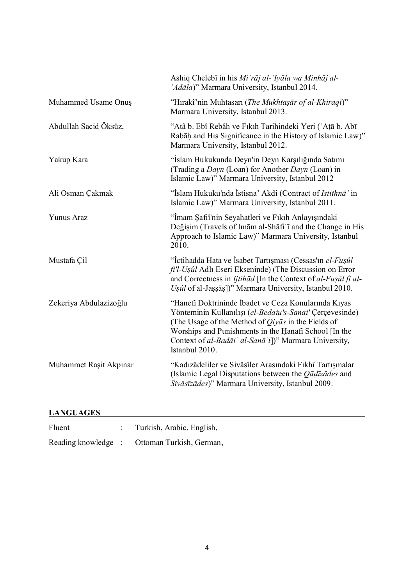|                        | Ashiq Chelebī in his Mi'rāj al-'Iyāla wa Minhāj al-<br>'Adāla)" Marmara University, Istanbul 2014.                                                                                                                                                                                                                 |
|------------------------|--------------------------------------------------------------------------------------------------------------------------------------------------------------------------------------------------------------------------------------------------------------------------------------------------------------------|
| Muhammed Usame Onuş    | "Hırakî'nin Muhtasarı (The Mukhtaşār of al-Khiraqī)"<br>Marmara University, Istanbul 2013.                                                                                                                                                                                                                         |
| Abdullah Sacid Öksüz,  | "Atâ b. Ebî Rebâh ve Fıkıh Tarihindeki Yeri ('Atā b. Abī<br>Rabāḥ and His Significance in the History of Islamic Law)"<br>Marmara University, Istanbul 2012.                                                                                                                                                       |
| Yakup Kara             | "İslam Hukukunda Deyn'in Deyn Karşılığında Satımı<br>(Trading a Dayn (Loan) for Another Dayn (Loan) in<br>Islamic Law)" Marmara University, Istanbul 2012                                                                                                                                                          |
| Ali Osman Çakmak       | "Islam Hukuku'nda Istisna' Akdi (Contract of Istithna <sup>'</sup> in<br>Islamic Law)" Marmara University, Istanbul 2011.                                                                                                                                                                                          |
| <b>Yunus Araz</b>      | "İmam Şafiî'nin Seyahatleri ve Fıkıh Anlayışındaki<br>Değişim (Travels of Imam al-Shafi'i and the Change in His<br>Approach to Islamic Law)" Marmara University, Istanbul<br>2010.                                                                                                                                 |
| Mustafa Çil            | "İctihadda Hata ve İsabet Tartışması (Cessas'ın el-Fuşûl<br>fi'l-Uşûl Adlı Eseri Ekseninde) (The Discussion on Error<br>and Correctness in Ijtihād [In the Context of al-Fușûl fi al-<br>Uşûl of al-Jaşşāş])" Marmara University, Istanbul 2010.                                                                   |
| Zekeriya Abdulazizoğlu | "Hanefi Doktrininde İbadet ve Ceza Konularında Kıyas<br>Yönteminin Kullanılışı (el-Bedaiu's-Sanai' Çerçevesinde)<br>(The Usage of the Method of $Qiy\bar{a}s$ in the Fields of<br>Worships and Punishments in the Hanafi School [In the<br>Context of al-Badāi' al-Sanā'i])" Marmara University,<br>Istanbul 2010. |
| Muhammet Raşit Akpınar | "Kadızâdeliler ve Sivâsîler Arasındaki Fıkhî Tartışmalar<br>(Islamic Legal Disputations between the $Q\bar{a}d\bar{z}\bar{a}des$ and<br>Sivāsīzādes)" Marmara University, Istanbul 2009.                                                                                                                           |

# **LANGUAGES**

Fluent : Turkish, Arabic, English, Reading knowledge : Ottoman Turkish, German,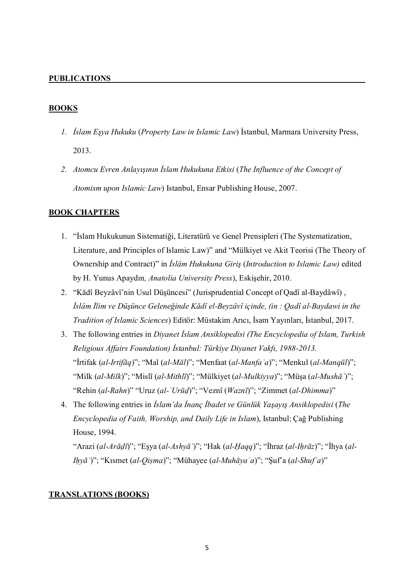### **PUBLICATIONS**

### **BOOKS**

- *1. İslam Eşya Hukuku* (*Property Law in Islamic Law*) İstanbul, Marmara University Press, 2013.
- *2. Atomcu Evren Anlayışının İslam Hukukuna Etkisi* (*The Influence of the Concept of Atomism upon Islamic Law*) Istanbul, Ensar Publishing House, 2007.

# **BOOK CHAPTERS**

- 1. "İslam Hukukunun Sistematiği, Literatürü ve Genel Prensipleri (The Systematization, Literature, and Principles of Islamic Law)" and "Mülkiyet ve Akit Teorisi (The Theory of Ownership and Contract)" in *İslâm Hukukuna Giriş* (*Introduction to Islamic Law)* edited by H. Yunus Apaydın*, Anatolia University Press*), Eskişehir, 2010.
- 2. "Kādî Beyzâvî'nin Usul Düşüncesi" (Jurisprudential Concept of Qadî al-Baydâwî) , *İslâm İlim ve Düşünce Geleneğinde Kādî el-Beyzâvî içinde, (in : Qadî al-Baydawi in the Tradition of Islamic Sciences*) Editör: Müstakim Arıcı, İsam Yayınları, İstanbul, 2017.
- 3. The following entries in *Diyanet İslam Ansiklopedisi (The Encyclopedia of Islam, Turkish Religious Affairs Foundation) İstanbul: Türkiye Diyanet Vakfı, 1988-2013.* "İrtifak (*al-Irtifāq*)"; "Mal (*al-Māl*)"; "Menfaat (*al-Manfaʿa*)"; "Menkul (*al-Manqūl*)"; "Milk (*al-Milk*)"; "Mislî (*al-Mithlī*)"; "Mülkiyet (*al-Mulkiyya*)"; "Müşa (*al-Mushāʿ*)"; "Rehin (*al-Rahn*)" "Uruz (*al-ʿUrūḍ*)"; "Veznî (*Waznī*)"; "Zimmet (*al-Dhimma*)"
- 4. The following entries in *İslam'da İnanç İbadet ve Günlük Yaşayış Ansiklopedisi* (*The Encyclopedia of Faith, Worship, and Daily Life in Islam*), Istanbul: Çağ Publishing House, 1994.

"Arazi (*al-Arāḍī*)"; "Eşya (*al-Ashyāʾ*)"; "Hak (*al-Ḥaqq*)"; "İhraz (*al-Iḥrāz*)"; "İhya (*al-Iḥyāʾ*)"; "Kısmet (*al-Qiṣma*)"; "Mühayee (*al-Muhāyaʾa*)"; "Şuf'a (*al-Shufʿa*)"

### **TRANSLATIONS (BOOKS)**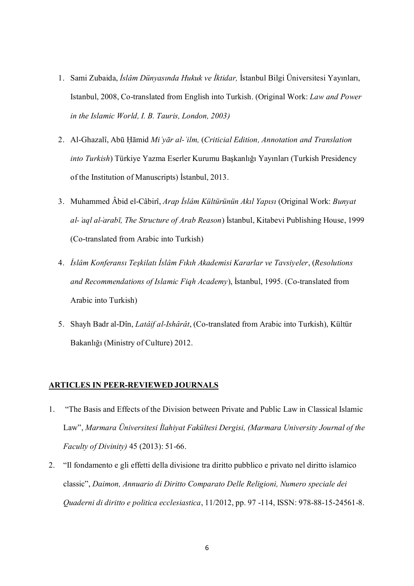- 1. Sami Zubaida, *İslâm Dünyasında Hukuk ve İktidar,* İstanbul Bilgi Üniversitesi Yayınları, Istanbul, 2008, Co-translated from English into Turkish. (Original Work: *Law and Power in the Islamic World, I. B. Tauris, London, 2003)*
- 2. Al-Ghazalî, Abū Ḥāmid *Miʿyār al-ʿilm,* (*Criticial Edition, Annotation and Translation into Turkish*) Türkiye Yazma Eserler Kurumu Başkanlığı Yayınları (Turkish Presidency of the Institution of Manuscripts) İstanbul, 2013.
- 3. Muhammed Âbid el-Câbirî, *Arap İslâm Kültürünün Akıl Yapısı* (Original Work: *Bunyat al- ͑aql al-͑arabī, The Structure of Arab Reason*) İstanbul, Kitabevi Publishing House, 1999 (Co-translated from Arabic into Turkish)
- 4. *İslâm Konferansı Teşkilatı İslâm Fıkıh Akademisi Kararlar ve Tavsiyeler*, (*Resolutions and Recommendations of Islamic Fiqh Academy*), İstanbul, 1995. (Co-translated from Arabic into Turkish)
- 5. Shayh Badr al-Dîn, *Latâif al-Ishârât*, (Co-translated from Arabic into Turkish), Kültür Bakanlığı (Ministry of Culture) 2012.

### **ARTICLES IN PEER-REVIEWED JOURNALS**

- 1. "The Basis and Effects of the Division between Private and Public Law in Classical Islamic Law", *Marmara Üniversitesi İlahiyat Fakültesi Dergisi, (Marmara University Journal of the Faculty of Divinity)* 45 (2013): 51-66.
- 2. "Il fondamento e gli effetti della divisione tra diritto pubblico e privato nel diritto islamico classic", *Daimon, Annuario di Diritto Comparato Delle Religioni, Numero speciale dei Quaderni di diritto e politica ecclesiastica*, 11/2012, pp. 97 -114, ISSN: 978-88-15-24561-8.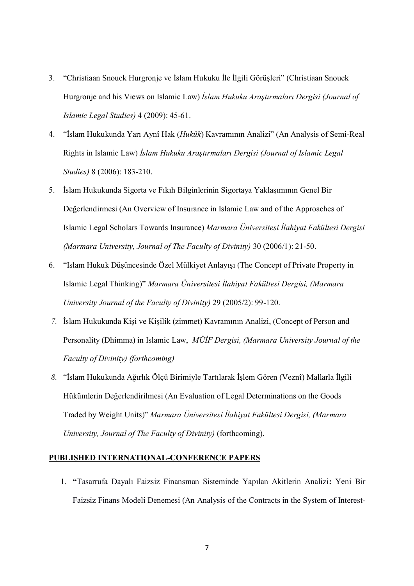- 3. "Christiaan Snouck Hurgronje ve İslam Hukuku İle İlgili Görüşleri" (Christiaan Snouck Hurgronje and his Views on Islamic Law) *İslam Hukuku Araştırmaları Dergisi (Journal of Islamic Legal Studies)* 4 (2009): 45-61.
- 4. "İslam Hukukunda Yarı Aynî Hak (*Hukûk*) Kavramının Analizi" (An Analysis of Semi-Real Rights in Islamic Law) *İslam Hukuku Araştırmaları Dergisi (Journal of Islamic Legal Studies)* 8 (2006): 183-210.
- 5. İslam Hukukunda Sigorta ve Fıkıh Bilginlerinin Sigortaya Yaklaşımının Genel Bir Değerlendirmesi (An Overview of Insurance in Islamic Law and of the Approaches of Islamic Legal Scholars Towards Insurance) *Marmara Üniversitesi İlahiyat Fakültesi Dergisi (Marmara University, Journal of The Faculty of Divinity)* 30 (2006/1): 21-50.
- 6. "Islam Hukuk Düşüncesinde Özel Mülkiyet Anlayışı (The Concept of Private Property in Islamic Legal Thinking)" *Marmara Üniversitesi İlahiyat Fakültesi Dergisi, (Marmara University Journal of the Faculty of Divinity)* 29 (2005/2): 99-120.
- *7.* İslam Hukukunda Kişi ve Kişilik (zimmet) Kavramının Analizi, (Concept of Person and Personality (Dhimma) in Islamic Law, *MÜİF Dergisi, (Marmara University Journal of the Faculty of Divinity) (forthcoming)*
- *8.* "İslam Hukukunda Ağırlık Ölçü Birimiyle Tartılarak İşlem Gören (Veznî) Mallarla İlgili Hükümlerin Değerlendirilmesi (An Evaluation of Legal Determinations on the Goods Traded by Weight Units)" *Marmara Üniversitesi İlahiyat Fakültesi Dergisi, (Marmara University, Journal of The Faculty of Divinity)* (forthcoming).

# **PUBLISHED INTERNATIONAL-CONFERENCE PAPERS**

1. **"**Tasarrufa Dayalı Faizsiz Finansman Sisteminde Yapılan Akitlerin Analizi**:** Yeni Bir Faizsiz Finans Modeli Denemesi (An Analysis of the Contracts in the System of Interest-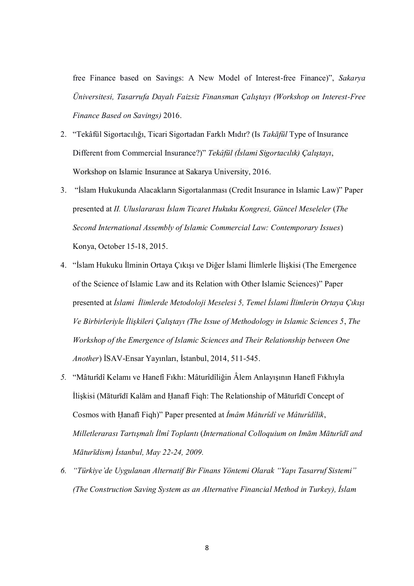free Finance based on Savings: A New Model of Interest-free Finance)", *Sakarya Üniversitesi, Tasarrufa Dayalı Faizsiz Finansman Çalıştayı (Workshop on Interest-Free Finance Based on Savings)* 2016.

- 2. "Tekâfül Sigortacılığı, Ticari Sigortadan Farklı Mıdır? (Is *Takāfūl* Type of Insurance Different from Commercial Insurance?)" *Tekâfül (İslami Sigortacılık) Çalıştayı*, Workshop on Islamic Insurance at Sakarya University, 2016.
- 3. "İslam Hukukunda Alacakların Sigortalanması (Credit Insurance in Islamic Law)" Paper presented at *II. Uluslararası İslam Ticaret Hukuku Kongresi, Güncel Meseleler* (*The Second International Assembly of Islamic Commercial Law: Contemporary Issues*) Konya, October 15-18, 2015.
- 4. "İslam Hukuku İlminin Ortaya Çıkışı ve Diğer İslami İlimlerle İlişkisi (The Emergence of the Science of Islamic Law and its Relation with Other Islamic Sciences)" Paper presented at *İslami İlimlerde Metodoloji Meselesi 5, Temel İslami İlimlerin Ortaya Çıkışı Ve Birbirleriyle İlişkileri Çalıştayı (The Issue of Methodology in Islamic Sciences 5*, *The Workshop of the Emergence of Islamic Sciences and Their Relationship between One Another*) İSAV-Ensar Yayınları, İstanbul, 2014, 511-545.
- *5.* "Mâturîdî Kelamı ve Hanefî Fıkhı: Mâturîdîliğin Âlem Anlayışının Hanefî Fıkhıyla İlişkisi (Māturīdī Kalām and Ḥanafī Fiqh: The Relationship of Māturīdī Concept of Cosmos with Ḥanafī Fiqh)" Paper presented at *İmâm Mâturîdî ve Mâturîdîlik*, *Milletlerarası Tartışmalı İlmî Toplantı* (*International Colloquium on Imām Māturīdī and Māturīdism) İstanbul, May 22-24, 2009.*
- *6. "Türkiye'de Uygulanan Alternatif Bir Finans Yöntemi Olarak "Yapı Tasarruf Sistemi" (The Construction Saving System as an Alternative Financial Method in Turkey), İslam*